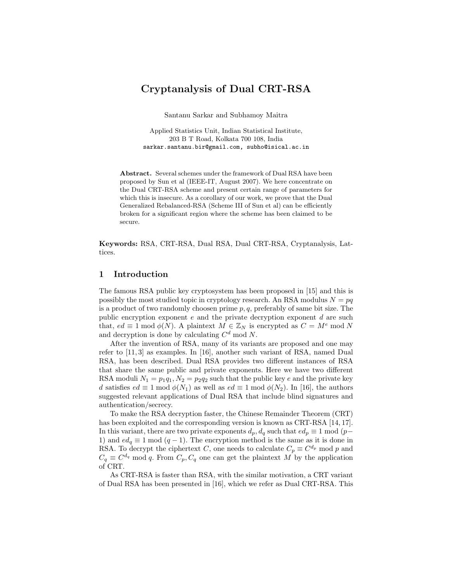# Cryptanalysis of Dual CRT-RSA

Santanu Sarkar and Subhamoy Maitra

Applied Statistics Unit, Indian Statistical Institute, 203 B T Road, Kolkata 700 108, India sarkar.santanu.bir@gmail.com, subho@isical.ac.in

Abstract. Several schemes under the framework of Dual RSA have been proposed by Sun et al (IEEE-IT, August 2007). We here concentrate on the Dual CRT-RSA scheme and present certain range of parameters for which this is insecure. As a corollary of our work, we prove that the Dual Generalized Rebalanced-RSA (Scheme III of Sun et al) can be efficiently broken for a significant region where the scheme has been claimed to be secure.

Keywords: RSA, CRT-RSA, Dual RSA, Dual CRT-RSA, Cryptanalysis, Lattices.

# 1 Introduction

The famous RSA public key cryptosystem has been proposed in [15] and this is possibly the most studied topic in cryptology research. An RSA modulus  $N = pq$ is a product of two randomly choosen prime  $p, q$ , preferably of same bit size. The public encryption exponent  $e$  and the private decryption exponent  $d$  are such that,  $ed \equiv 1 \mod \phi(N)$ . A plaintext  $M \in \mathbb{Z}_N$  is encrypted as  $C = M^e \mod N$ and decryption is done by calculating  $C<sup>d</sup>$  mod N.

After the invention of RSA, many of its variants are proposed and one may refer to [11, 3] as examples. In [16], another such variant of RSA, named Dual RSA, has been described. Dual RSA provides two different instances of RSA that share the same public and private exponents. Here we have two different RSA moduli  $N_1 = p_1q_1$ ,  $N_2 = p_2q_2$  such that the public key e and the private key d satisfies  $ed \equiv 1 \mod \phi(N_1)$  as well as  $ed \equiv 1 \mod \phi(N_2)$ . In [16], the authors suggested relevant applications of Dual RSA that include blind signatures and authentication/secrecy.

To make the RSA decryption faster, the Chinese Remainder Theorem (CRT) has been exploited and the corresponding version is known as CRT-RSA [14, 17]. In this variant, there are two private exponents  $d_p, d_q$  such that  $ed_p \equiv 1 \mod (p-\epsilon)$ 1) and  $ed_q \equiv 1 \mod (q-1)$ . The encryption method is the same as it is done in RSA. To decrypt the ciphertext C, one needs to calculate  $C_p \equiv C^{d_p} \mod p$  and  $C_q \equiv C^{d_q} \mod q$ . From  $C_p, C_q$  one can get the plaintext M by the application of CRT.

As CRT-RSA is faster than RSA, with the similar motivation, a CRT variant of Dual RSA has been presented in [16], which we refer as Dual CRT-RSA. This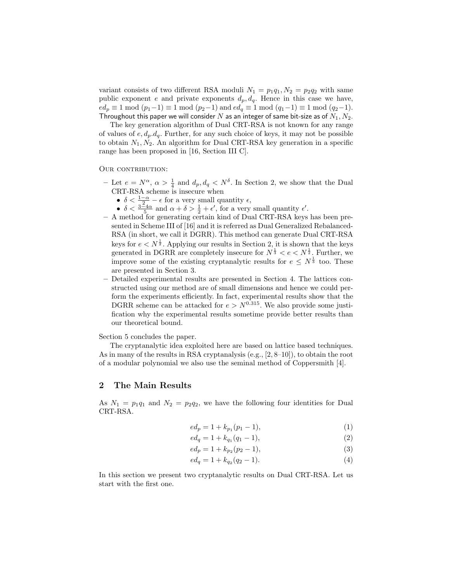variant consists of two different RSA moduli  $N_1 = p_1q_1, N_2 = p_2q_2$  with same public exponent e and private exponents  $d_p, d_q$ . Hence in this case we have,  $ed_p \equiv 1 \mod (p_1-1) \equiv 1 \mod (p_2-1)$  and  $ed_q \equiv 1 \mod (q_1-1) \equiv 1 \mod (q_2-1)$ . Throughout this paper we will consider  $N$  as an integer of same bit-size as of  $N_1, N_2$ .

The key generation algorithm of Dual CRT-RSA is not known for any range of values of  $e, d_p, d_q$ . Further, for any such choice of keys, it may not be possible to obtain  $N_1, N_2$ . An algorithm for Dual CRT-RSA key generation in a specific range has been proposed in [16, Section III C].

#### OUR CONTRIBUTION:

- Let  $e = N^{\alpha}$ ,  $\alpha > \frac{1}{4}$  and  $d_p, d_q < N^{\delta}$ . In Section 2, we show that the Dual  $CRT-RSA$  scheme is insecure when
	- $\delta < \frac{1-\alpha}{2} \epsilon$  for a very small quantity  $\epsilon$ ,
	- $\delta < \frac{3-4\alpha}{5}$  and  $\alpha + \delta > \frac{1}{2} + \epsilon'$ , for a very small quantity  $\epsilon'$ .
- A method for generating certain kind of Dual CRT-RSA keys has been presented in Scheme III of [16] and it is referred as Dual Generalized Rebalanced-RSA (in short, we call it DGRR). This method can generate Dual CRT-RSA keys for  $e < N^{\frac{1}{2}}$ . Applying our results in Section 2, it is shown that the keys generated in DGRR are completely insecure for  $N^{\frac{1}{3}} < e < N^{\frac{1}{2}}$ . Further, we improve some of the existing cryptanalytic results for  $e \leq N^{\frac{1}{3}}$  too. These are presented in Section 3.
- Detailed experimental results are presented in Section 4. The lattices constructed using our method are of small dimensions and hence we could perform the experiments efficiently. In fact, experimental results show that the DGRR scheme can be attacked for  $e > N^{0.315}$ . We also provide some justification why the experimental results sometime provide better results than our theoretical bound.

Section 5 concludes the paper.

The cryptanalytic idea exploited here are based on lattice based techniques. As in many of the results in RSA cryptanalysis (e.g., [2, 8–10]), to obtain the root of a modular polynomial we also use the seminal method of Coppersmith [4].

# 2 The Main Results

As  $N_1 = p_1q_1$  and  $N_2 = p_2q_2$ , we have the following four identities for Dual CRT-RSA.

$$
ed_p = 1 + k_{p_1}(p_1 - 1),\tag{1}
$$

$$
ed_q = 1 + k_{q_1}(q_1 - 1),
$$
\n(2)

$$
ed_p = 1 + k_{p_2}(p_2 - 1),
$$
\n(3)

$$
ed_q = 1 + k_{q_2}(q_2 - 1). \tag{4}
$$

In this section we present two cryptanalytic results on Dual CRT-RSA. Let us start with the first one.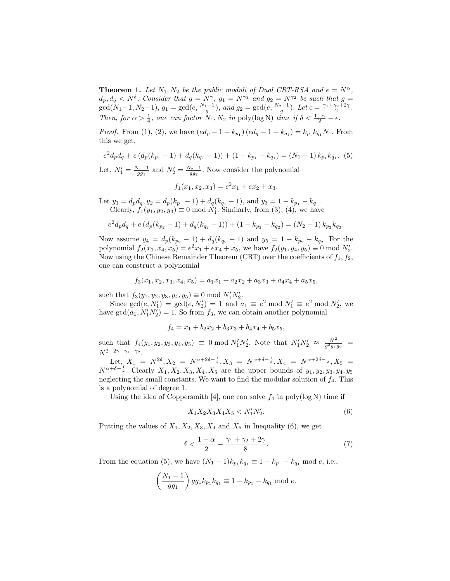**Theorem 1.** Let  $N_1, N_2$  be the public moduli of Dual CRT-RSA and  $e = N^{\alpha}$ ,  $d_p, d_q \lt N^{\delta}$ . Consider that  $g = N^{\gamma}$ ,  $g_1 = N^{\gamma_1}$  and  $g_2 = N^{\gamma_2}$  be such that  $g =$  $gcd(N_1-1, N_2-1), g_1 = gcd(e, \frac{N_1-1}{g}), and g_2 = gcd(e, \frac{N_2-1}{g}).$  Let  $\epsilon = \frac{\gamma_1 + \gamma_2 + 2\gamma}{2}.$ Then, for  $\alpha > \frac{1}{4}$ , one can factor  $N_1, N_2$  in poly(log N) time if  $\delta < \frac{1-\alpha}{2} - \epsilon$ .

*Proof.* From (1), (2), we have  $(ed_p - 1 + k_{p_1}) (ed_q - 1 + k_{q_1}) = k_{p_1} k_{q_1} N_1$ . From this we get,

$$
e^{2}d_{p}d_{q} + e(d_{p}(k_{p_{1}} - 1) + d_{q}(k_{q_{1}} - 1)) + (1 - k_{p_{1}} - k_{q_{1}}) = (N_{1} - 1) k_{p_{1}}k_{q_{1}}.
$$
 (5)

Let,  $N_1' = \frac{N_1-1}{gg_1}$  and  $N_2' = \frac{N_2-1}{gg_2}$ . Now consider the polynomial

$$
f_1(x_1, x_2, x_3) = e^2 x_1 + e x_2 + x_3.
$$

Let  $y_1 = d_p d_q, y_2 = d_p(k_{p_1} - 1) + d_q(k_{q_1} - 1)$ , and  $y_3 = 1 - k_{p_1} - k_{q_1}$ . Clearly,  $f_1(y_1, y_2, y_3) \equiv 0 \mod N'_1$ . Similarly, from (3), (4), we have

$$
e^{2}d_{p}d_{q} + e(d_{p}(k_{p_{2}} - 1) + d_{q}(k_{q_{2}} - 1)) + (1 - k_{p_{2}} - k_{q_{2}}) = (N_{2} - 1) k_{p_{2}}k_{q_{2}}.
$$

Now assume  $y_4 = d_p(k_{p_2} - 1) + d_q(k_{q_2} - 1)$  and  $y_5 = 1 - k_{p_2} - k_{q_2}$ . For the polynomial  $f_2(x_1, x_4, x_5) = e^2x_1 + ex_4 + x_5$ , we have  $f_2(y_1, y_4, y_5) \equiv 0 \mod N'_2$ . Now using the Chinese Remainder Theorem (CRT) over the coefficients of  $f_1, f_2$ , one can construct a polynomial

$$
f_3(x_1, x_2, x_3, x_4, x_5) = a_1x_1 + a_2x_2 + a_3x_3 + a_4x_4 + a_5x_5,
$$

such that  $f_3(y_1, y_2, y_3, y_4, y_5) \equiv 0 \text{ mod } N'_1 N'_2$ .

Since  $gcd(e, N'_1) = gcd(e, N'_2) = 1$  and  $a_1 \equiv e^2 \mod N'_1 \equiv e^2 \mod N'_2$ , we have  $gcd(a_1, N_1'N_2') = 1$ . So from  $f_3$ , we can obtain another polynomial

$$
f_4 = x_1 + b_2x_2 + b_3x_3 + b_4x_4 + b_5x_5,
$$

such that  $f_4(y_1, y_2, y_3, y_4, y_5) \equiv 0 \mod N'_1 N'_2$ . Note that  $N'_1 N'_2 \approx \frac{N^2}{g^2 g_1 g_2}$  $N^{2-2\gamma-\gamma_1-\gamma_2}.$ 

Let,  $X_1 = N^{2\delta}, X_2 = N^{\alpha+2\delta-\frac{1}{2}}, X_3 = N^{\alpha+\delta-\frac{1}{2}}, X_4 = N^{\alpha+2\delta-\frac{1}{2}}, X_5 =$  $N^{\alpha+\delta-\frac{1}{2}}$ . Clearly  $X_1, X_2, X_3, X_4, X_5$  are the upper bounds of  $y_1, y_2, y_3, y_4, y_5$ neglecting the small constants. We want to find the modular solution of  $f_4$ . This is a polynomial of degree 1.

Using the idea of Coppersmith [4], one can solve  $f_4$  in poly(log N) time if

$$
X_1 X_2 X_3 X_4 X_5 < N'_1 N'_2. \tag{6}
$$

Putting the values of  $X_1, X_2, X_3, X_4$  and  $X_5$  in Inequality (6), we get

$$
\delta < \frac{1-\alpha}{2} - \frac{\gamma_1 + \gamma_2 + 2\gamma}{8}.\tag{7}
$$

From the equation (5), we have  $(N_1 - 1)k_{p_1} k_{q_1} \equiv 1 - k_{p_1} - k_{q_1} \mod e$ , i.e.,

$$
\left(\frac{N_1 - 1}{gg_1}\right)gg_1k_{p_1}k_{q_1} \equiv 1 - k_{p_1} - k_{q_1} \bmod e.
$$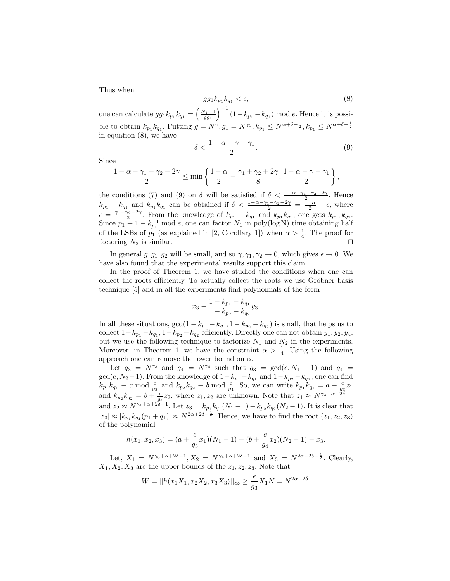Thus when

$$
gg_1k_{p_1}k_{q_1} < e,\t\t(8)
$$

one can calculate  $gg_1k_{p_1}k_{q_1} = \left(\frac{N_1-1}{gg_1}\right)^{-1}(1-k_{p_1}-k_{q_1}) \mod e$ . Hence it is possible to obtain  $k_{p_1} k_{q_1}$ . Putting  $g = N^{\gamma}, g_1 = N^{\gamma_1}, k_{p_1} \le N^{\alpha + \delta - \frac{1}{2}}, k_{p_1} \le N^{\alpha + \delta - \frac{1}{2}}$ in equation (8), we have

$$
\delta < \frac{1 - \alpha - \gamma - \gamma_1}{2}.\tag{9}
$$

Since

$$
\frac{1-\alpha-\gamma_1-\gamma_2-2\gamma}{2}\leq\min\left\{\frac{1-\alpha}{2}-\frac{\gamma_1+\gamma_2+2\gamma}{8},\frac{1-\alpha-\gamma-\gamma_1}{2}\right\},\,
$$

the conditions (7) and (9) on  $\delta$  will be satisfied if  $\delta < \frac{1-\alpha-\gamma_1-\gamma_2-2\gamma}{2}$ . Hence  $k_{p_1} + k_{q_1}$  and  $k_{p_1}k_{q_1}$  can be obtained if  $\delta < \frac{1-\alpha-\gamma_1-\gamma_2-2\gamma}{2} = \frac{\bar{1}-\alpha}{2} - \epsilon$ , where  $\epsilon = \frac{\gamma_1 + \gamma_2 + 2\gamma}{2}$ . From the knowledge of  $k_{p_1} + k_{q_1}$  and  $k_{p_1}k_{q_1}$ , one gets  $k_{p_1}, k_{q_1}$ . Since  $p_1 \equiv 1 - k_{p_1}^{-1} \mod e$ , one can factor  $N_1$  in poly(log N) time obtaining half of the LSBs of  $p_1$  (as explained in [2, Corollary 1]) when  $\alpha > \frac{1}{4}$ . The proof for factoring  $N_2$  is similar.

In general  $g, g_1, g_2$  will be small, and so  $\gamma, \gamma_1, \gamma_2 \to 0$ , which gives  $\epsilon \to 0$ . We have also found that the experimental results support this claim.

In the proof of Theorem 1, we have studied the conditions when one can collect the roots efficiently. To actually collect the roots we use Gröbner basis technique [5] and in all the experiments find polynomials of the form

$$
x_3-\frac{1-k_{p_1}-k_{q_1}}{1-k_{p_2}-k_{q_2}}y_3.
$$

In all these situations,  $gcd(1 - k_{p_1} - k_{q_1}, 1 - k_{p_2} - k_{q_2})$  is small, that helps us to collect  $1 - k_{p_1} - k_{q_1}$ ,  $1 - k_{p_2} - k_{q_2}$  efficiently. Directly one can not obtain  $y_1, y_2, y_4$ , but we use the following technique to factorize  $N_1$  and  $N_2$  in the experiments. Moreover, in Theorem 1, we have the constraint  $\alpha > \frac{1}{4}$ . Using the following approach one can remove the lower bound on  $\alpha$ .

Let  $g_3 = N^{\gamma_3}$  and  $g_4 = N^{\gamma_4}$  such that  $g_3 = \gcd(e, N_1 - 1)$  and  $g_4 =$  $gcd(e, N_2-1)$ . From the knowledge of  $1-k_{p_1}-k_{q_1}$  and  $1-k_{p_2}-k_{q_2}$ , one can find  $k_{p_1}k_{q_1} \equiv a \mod \frac{e}{g_3}$  and  $k_{p_2}k_{q_2} \equiv b \mod \frac{e}{g_4}$ . So, we can write  $k_{p_1}k_{q_1} = a + \frac{e}{g_3}z_1$ and  $k_{p_2}k_{q_2}=b+\frac{e}{g_4}z_2$ , where  $z_1, z_2$  are unknown. Note that  $z_1 \approx N^{\gamma_3+\alpha+2\delta-1}$ and  $z_2 \approx N^{\gamma_4 + \alpha + 2\delta - 1}$ . Let  $z_3 = k_{p_1} k_{q_1} (N_1 - 1) - k_{p_2} k_{q_2} (N_2 - 1)$ . It is clear that  $|z_3| \approx |k_{p_1} k_{q_1}(p_1 + q_1)| \approx N^{2\alpha + 2\delta - \frac{1}{2}}$ . Hence, we have to find the root  $(z_1, z_2, z_3)$ of the polynomial

$$
h(x_1, x_2, x_3) = (a + \frac{e}{g_3}x_1)(N_1 - 1) - (b + \frac{e}{g_4}x_2)(N_2 - 1) - x_3.
$$

Let,  $X_1 = N^{\gamma_3 + \alpha + 2\delta - 1}$ ,  $X_2 = N^{\gamma_4 + \alpha + 2\delta - 1}$  and  $X_3 = N^{2\alpha + 2\delta - \frac{1}{2}}$ . Clearly,  $X_1, X_2, X_3$  are the upper bounds of the  $z_1, z_2, z_3$ . Note that

$$
W = ||h(x_1X_1, x_2X_2, x_3X_3)||_{\infty} \ge \frac{e}{g_3}X_1N = N^{2\alpha + 2\delta}.
$$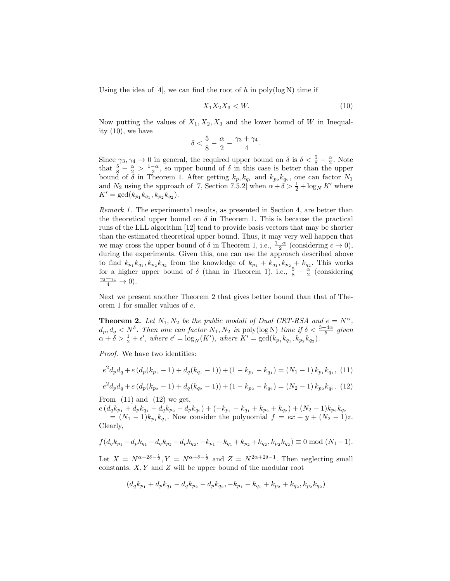Using the idea of  $[4]$ , we can find the root of h in poly $(\log N)$  time if

$$
X_1 X_2 X_3 < W. \tag{10}
$$

.

Now putting the values of  $X_1, X_2, X_3$  and the lower bound of W in Inequality (10), we have

$$
\delta<\frac{5}{8}-\frac{\alpha}{2}-\frac{\gamma_3+\gamma_4}{4}
$$

Since  $\gamma_3, \gamma_4 \to 0$  in general, the required upper bound on  $\delta$  is  $\delta < \frac{5}{8} - \frac{\alpha}{2}$ . Note that  $\frac{5}{8} - \frac{\alpha}{2} > \frac{1-\alpha}{2}$ , so upper bound of  $\delta$  in this case is better than the upper bound of  $\delta$  in Theorem 1. After getting  $k_{p_1} k_{q_1}$  and  $k_{p_2} k_{q_2}$ , one can factor  $N_1$ and  $N_2$  using the approach of [7, Section 7.5.2] when  $\alpha + \delta > \frac{1}{2} + \log_N K'$  where  $K' = \gcd(k_{p_1} k_{q_1}, k_{p_2} k_{q_2}).$ 

Remark 1. The experimental results, as presented in Section 4, are better than the theoretical upper bound on  $\delta$  in Theorem 1. This is because the practical runs of the LLL algorithm [12] tend to provide basis vectors that may be shorter than the estimated theoretical upper bound. Thus, it may very well happen that we may cross the upper bound of  $\delta$  in Theorem 1, i.e.,  $\frac{1-\alpha}{2}$  (considering  $\epsilon \to 0$ ), during the experiments. Given this, one can use the approach described above to find  $k_{p_1} k_{q_1}, k_{p_2} k_{q_2}$  from the knowledge of  $k_{p_1} + k_{q_1}, k_{p_2} + k_{q_2}$ . This works for a higher upper bound of  $\delta$  (than in Theorem 1), i.e.,  $\frac{5}{8} - \frac{\alpha}{2}$  (considering  $\frac{\gamma_3+\gamma_4}{4}\to 0$ ).

Next we present another Theorem 2 that gives better bound than that of Theorem 1 for smaller values of e.

**Theorem 2.** Let  $N_1, N_2$  be the public moduli of Dual CRT-RSA and  $e = N^{\alpha}$ ,  $d_p, d_q < N^{\delta}$ . Then one can factor  $N_1, N_2$  in poly(log N) time if  $\delta < \frac{3-4\alpha}{5}$  given  $\alpha + \delta > \frac{1}{2} + \epsilon'$ , where  $\epsilon' = \log_N(K')$ , where  $K' = \gcd(k_{p_1} k_{q_1}, k_{p_2} k_{q_2})$ .

Proof. We have two identities:

$$
e^{2}d_{p}d_{q} + e(d_{p}(k_{p1} - 1) + d_{q}(k_{q1} - 1)) + (1 - k_{p1} - k_{q1}) = (N_{1} - 1) k_{p1} k_{q1}, (11)
$$

 $e^2 d_p d_q + e (d_p (k_{p_2} - 1) + d_q (k_{q_2} - 1)) + (1 - k_{p_2} - k_{q_2}) = (N_2 - 1) k_{p_2} k_{q_2}.$  (12) From  $(11)$  and  $(12)$  we get,

 $e(d_qk_{p_1} + d_pk_{q_1} - d_qk_{p_2} - d_pk_{q_2}) + (-k_{p_1} - k_{q_1} + k_{p_2} + k_{q_2}) + (N_2 - 1)k_{p_2}k_{q_2}$  $=(N_1-1)k_{p_1}k_{q_1}$ . Now consider the polynomial  $f = ex + y + (N_2 - 1)z$ . Clearly,

$$
f(d_q k_{p_1} + d_p k_{q_1} - d_q k_{p_2} - d_p k_{q_2}, -k_{p_1} - k_{q_1} + k_{p_2} + k_{q_2}, k_{p_2} k_{q_2}) \equiv 0 \mod (N_1 - 1).
$$

Let  $X = N^{\alpha+2\delta-\frac{1}{2}}, Y = N^{\alpha+\delta-\frac{1}{2}}$  and  $Z = N^{2\alpha+2\delta-1}$ . Then neglecting small constants,  $X, Y$  and  $Z$  will be upper bound of the modular root

$$
\left(d_qk_{p_1}+d_pk_{q_1}-d_qk_{p_2}-d_pk_{q_2},-k_{p_1}-k_{q_1}+k_{p_2}+k_{q_2},k_{p_2}k_{q_2}\right)
$$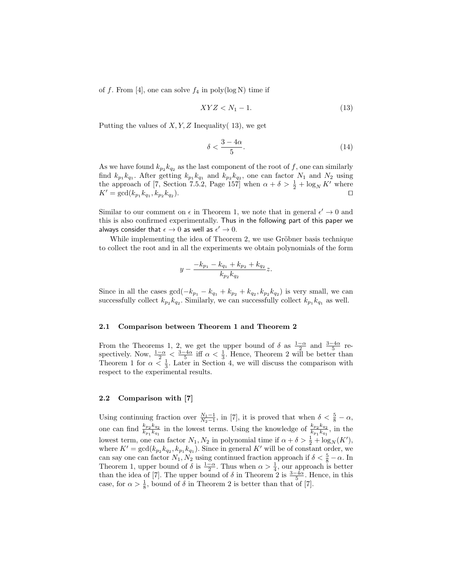of f. From [4], one can solve  $f_4$  in poly(log N) time if

$$
XYZ < N_1 - 1. \tag{13}
$$

Putting the values of  $X, Y, Z$  Inequality( 13), we get

$$
\delta < \frac{3 - 4\alpha}{5}.\tag{14}
$$

As we have found  $k_{p_2} k_{q_2}$  as the last component of the root of f, one can similarly find  $k_{p_1}k_{q_1}$ . After getting  $k_{p_1}k_{q_1}$  and  $k_{p_2}k_{q_2}$ , one can factor  $N_1$  and  $N_2$  using the approach of [7, Section 7.5.2, Page 157] when  $\alpha + \delta > \frac{1}{2} + \log_N K'$  where  $K' = \gcd(k_{p_1} k_{q_1}, k_{p_2} k_{q_2})$ ).  $\qquad \qquad \Box$ 

Similar to our comment on  $\epsilon$  in Theorem 1, we note that in general  $\epsilon' \to 0$  and this is also confirmed experimentally. Thus in the following part of this paper we always consider that  $\epsilon \to 0$  as well as  $\epsilon' \to 0$ .

While implementing the idea of Theorem 2, we use Gröbner basis technique to collect the root and in all the experiments we obtain polynomials of the form

$$
y-\frac{-k_{p_1}-k_{q_1}+k_{p_2}+k_{q_2}}{k_{p_2}k_{q_2}}z.
$$

Since in all the cases  $gcd(-k_{p_1} - k_{q_1} + k_{p_2} + k_{q_2}, k_{p_2}k_{q_2})$  is very small, we can successfully collect  $k_{p_2} k_{q_2}$ . Similarly, we can successfully collect  $k_{p_1} k_{q_1}$  as well.

#### 2.1 Comparison between Theorem 1 and Theorem 2

From the Theorems 1, 2, we get the upper bound of  $\delta$  as  $\frac{1-\alpha}{2}$  and  $\frac{3-4\alpha}{5}$  respectively. Now,  $\frac{1-\alpha}{2} < \frac{3-4\alpha}{5}$  iff  $\alpha < \frac{1}{3}$ . Hence, Theorem 2 will be better than Theorem 1 for  $\alpha < \frac{1}{3}$ . Later in Section 4, we will discuss the comparison with respect to the experimental results.

### 2.2 Comparison with [7]

Using continuing fraction over  $\frac{N_1-1}{N_2-1}$ , in [7], it is proved that when  $\delta < \frac{5}{8} - \alpha$ , one can find  $\frac{k_{p_2}k_{q_2}}{k_{p_1}}$  $\frac{k_{p_2}k_{q_2}}{k_{p_1}k_{q_1}}$  in the lowest terms. Using the knowledge of  $\frac{k_{p_2}k_{q_2}}{k_{p_1}k_{q_1}}$  $\frac{\kappa_{p_2}\kappa_{q_2}}{\kappa_{p_1}\kappa_{q_1}}$ , in the lowest term, one can factor  $N_1, N_2$  in polynomial time if  $\alpha + \delta > \frac{1}{2} + \log_N(K')$ , where  $K' = \gcd(k_{p_2} k_{q_2}, k_{p_1} k_{q_1})$ . Since in general K' will be of constant order, we can say one can factor  $N_1, N_2$  using continued fraction approach if  $\delta < \frac{5}{8} - \alpha$ . In Theorem 1, upper bound of  $\delta$  is  $\frac{1-\alpha}{2}$ . Thus when  $\alpha > \frac{1}{4}$ , our approach is better than the idea of [7]. The upper bound of  $\delta$  in Theorem 2 is  $\frac{3-4\alpha}{5}$ . Hence, in this case, for  $\alpha > \frac{1}{8}$ , bound of  $\delta$  in Theorem 2 is better than that of [7].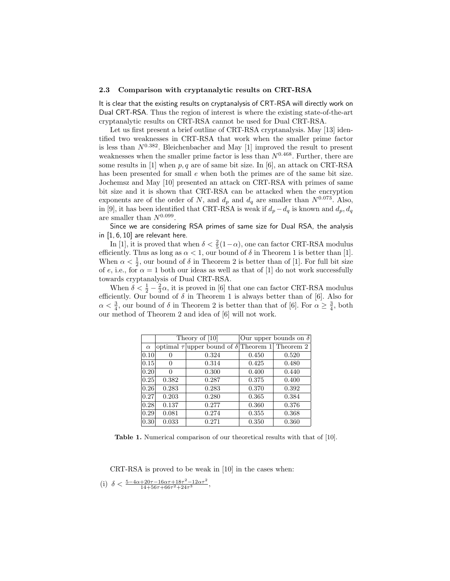#### 2.3 Comparison with cryptanalytic results on CRT-RSA

It is clear that the existing results on cryptanalysis of CRT-RSA will directly work on Dual CRT-RSA. Thus the region of interest is where the existing state-of-the-art cryptanalytic results on CRT-RSA cannot be used for Dual CRT-RSA.

Let us first present a brief outline of CRT-RSA cryptanalysis. May [13] identified two weaknesses in CRT-RSA that work when the smaller prime factor is less than  $N^{0.382}$ . Bleichenbacher and May [1] improved the result to present weaknesses when the smaller prime factor is less than  $N^{0.468}$ . Further, there are some results in [1] when  $p, q$  are of same bit size. In [6], an attack on CRT-RSA has been presented for small e when both the primes are of the same bit size. Jochemsz and May [10] presented an attack on CRT-RSA with primes of same bit size and it is shown that CRT-RSA can be attacked when the encryption exponents are of the order of N, and  $d_p$  and  $d_q$  are smaller than  $N^{0.073}$ . Also, in [9], it has been identified that CRT-RSA is weak if  $d_p - d_q$  is known and  $d_p, d_q$ are smaller than  $N^{0.099}$ .

Since we are considering RSA primes of same size for Dual RSA, the analysis in [1, 6, 10] are relevant here.

In [1], it is proved that when  $\delta < \frac{2}{5}(1-\alpha)$ , one can factor CRT-RSA modulus efficiently. Thus as long as  $\alpha < 1$ , our bound of  $\delta$  in Theorem 1 is better than [1]. When  $\alpha < \frac{1}{2}$ , our bound of  $\delta$  in Theorem 2 is better than of [1]. For full bit size of e, i.e., for  $\alpha = 1$  both our ideas as well as that of [1] do not work successfully towards cryptanalysis of Dual CRT-RSA.

When  $\delta < \frac{1}{2} - \frac{2}{3}\alpha$ , it is proved in [6] that one can factor CRT-RSA modulus efficiently. Our bound of  $\delta$  in Theorem 1 is always better than of [6]. Also for  $\alpha < \frac{3}{4}$ , our bound of  $\delta$  in Theorem 2 is better than that of [6]. For  $\alpha \geq \frac{3}{4}$ , both our method of Theorem 2 and idea of [6] will not work.

|                |       | Theory of $[10]$                                           | Our upper bounds on $\delta$ |       |  |  |
|----------------|-------|------------------------------------------------------------|------------------------------|-------|--|--|
| $\alpha$       |       | optimal $\tau$ upper bound of $\delta$ Theorem 1 Theorem 2 |                              |       |  |  |
| $ 0.10\rangle$ |       | 0.324                                                      | 0.450                        | 0.520 |  |  |
| $ 0.15\rangle$ |       | 0.314                                                      | 0.425                        | 0.480 |  |  |
| $ 0.20\rangle$ | ∩     | 0.300                                                      | 0.400                        | 0.440 |  |  |
| 0.25           | 0.382 | 0.287                                                      | 0.375                        | 0.400 |  |  |
| 0.26           | 0.283 | 0.283                                                      | 0.370                        | 0.392 |  |  |
| 0.27           | 0.203 | 0.280                                                      | 0.365                        | 0.384 |  |  |
| 0.28           | 0.137 | 0.277                                                      | 0.360                        | 0.376 |  |  |
| $ 0.29\rangle$ | 0.081 | 0.274                                                      | 0.355                        | 0.368 |  |  |
| 0.30           | 0.033 | 0.271                                                      | 0.350                        | 0.360 |  |  |

Table 1. Numerical comparison of our theoretical results with that of [10].

CRT-RSA is proved to be weak in [10] in the cases when:

(i) 
$$
\delta < \frac{5 - 4\alpha + 20\tau - 16\alpha\tau + 18\tau^2 - 12\alpha\tau^2}{14 + 56\tau + 66\tau^2 + 24\tau^3}
$$
,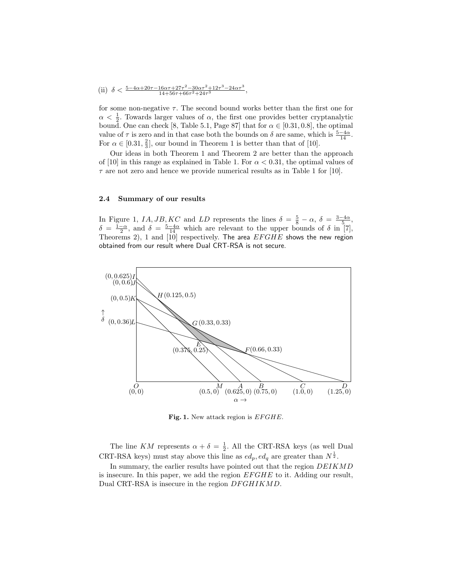(ii) 
$$
\delta < \frac{5 - 4\alpha + 20\tau - 16\alpha\tau + 27\tau^2 - 30\alpha\tau^2 + 12\tau^3 - 24\alpha\tau^3}{14 + 56\tau + 66\tau^2 + 24\tau^3},
$$

for some non-negative  $\tau$ . The second bound works better than the first one for  $\alpha < \frac{1}{2}$ . Towards larger values of  $\alpha$ , the first one provides better cryptanalytic bound. One can check [8, Table 5.1, Page 87] that for  $\alpha \in [0.31, 0.8]$ , the optimal value of  $\tau$  is zero and in that case both the bounds on  $\delta$  are same, which is  $\frac{5-4\alpha}{14}$ . For  $\alpha \in [0.31, \frac{2}{3}]$ , our bound in Theorem 1 is better than that of [10].

Our ideas in both Theorem 1 and Theorem 2 are better than the approach of [10] in this range as explained in Table 1. For  $\alpha < 0.31$ , the optimal values of  $\tau$  are not zero and hence we provide numerical results as in Table 1 for [10].

#### 2.4 Summary of our results

In Figure 1, IA, JB, KC and LD represents the lines  $\delta = \frac{5}{8} - \alpha$ ,  $\delta = \frac{3-4\alpha}{5}$ ,  $\delta = \frac{1-\alpha}{2}$ , and  $\delta = \frac{5-4\alpha}{14}$  which are relevant to the upper bounds of  $\delta$  in [7], Theorems 2), 1 and [10] respectively. The area  $EFGHE$  shows the new region obtained from our result where Dual CRT-RSA is not secure.



Fig. 1. New attack region is  $EFGHE$ .

The line KM represents  $\alpha + \delta = \frac{1}{2}$ . All the CRT-RSA keys (as well Dual CRT-RSA keys) must stay above this line as  $ed_p, ed_q$  are greater than  $N^{\frac{1}{2}}$ .

In summary, the earlier results have pointed out that the region DEIKMD is insecure. In this paper, we add the region  $EFGHE$  to it. Adding our result, Dual CRT-RSA is insecure in the region  $DFGHIKMD$ .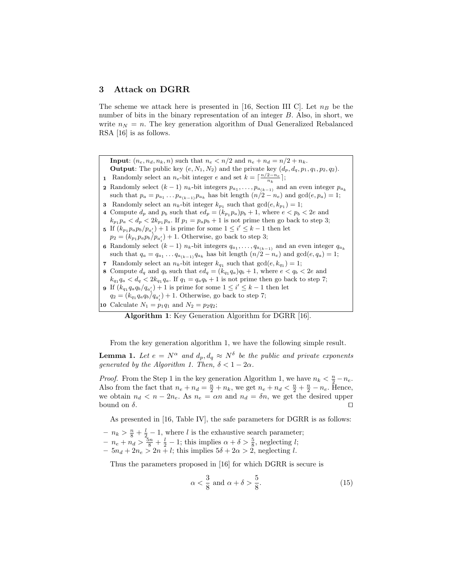### 3 Attack on DGRR

The scheme we attack here is presented in [16, Section III C]. Let  $n_B$  be the number of bits in the binary representation of an integer B. Also, in short, we write  $n_N = n$ . The key generation algorithm of Dual Generalized Rebalanced RSA [16] is as follows.

**Input:**  $(n_e, n_d, n_k, n)$  such that  $n_e < n/2$  and  $n_e + n_d = n/2 + n_k$ . **Output**: The public key  $(e, N_1, N_2)$  and the private key  $(d_p, d_q, p_1, q_1, p_2, q_2)$ . **1** Randomly select an  $n_e$ -bit integer e and set  $k = \lceil \frac{n/2 - n_e}{n_k} \rceil$ ; **2** Randomly select  $(k-1)$   $n_k$ -bit integers  $p_{a_1}, \ldots, p_{a_{(k-1)}}$  and an even integer  $p_{a_k}$ such that  $p_a = p_{a_1} \dots p_{a_{(k-1)}} p_{a_k}$  has bit length  $(n/2 - n_e)$  and  $gcd(e, p_a) = 1$ ; **3** Randomly select an  $n_k$ -bit integer  $k_{p_1}$  such that  $gcd(e, k_{p_1}) = 1$ ; 4 Compute  $d_p$  and  $p_b$  such that  $ed_p = (k_{p_1} p_a)p_b + 1$ , where  $e < p_b < 2e$  and  $k_{p_1} p_a < d_p < 2k_{p_1} p_a$ . If  $p_1 = p_a p_b + 1$  is not prime then go back to step 3; 5 If  $(k_{p_1} p_a p_b / p_{a'_i}) + 1$  is prime for some  $1 \leq i' \leq k - 1$  then let  $p_2 = (k_{p_1} p_a p_b / p_{a'_i}) + 1$ . Otherwise, go back to step 3; 6 Randomly select  $(k-1)$  n<sub>k</sub>-bit integers  $q_{a_1}, \ldots, q_{a_{(k-1)}}$  and an even integer  $q_{a_k}$ such that  $q_a = q_{a_1} \dots q_{a_{(k-1)}} q_{a_k}$  has bit length  $(n/2 - n_e)$  and  $gcd(e, q_a) = 1$ ; 7 Randomly select an  $n_k$ -bit integer  $k_{q_1}$  such that  $gcd(e, k_{q_1}) = 1$ ; 8 Compute  $d_q$  and  $q_b$  such that  $ed_q = (k_{q_1} q_a)q_b + 1$ , where  $e < q_b < 2e$  and  $k_{q_1}q_a < d_q < 2k_{q_1}q_a$ . If  $q_1 = q_a q_b + 1$  is not prime then go back to step 7; **9** If  $(k_{q_1}q_aq_b/q_{a'_i})+1$  is prime for some  $1 \leq i' \leq k-1$  then let  $q_2 = (k_{q_1}q_a q_b/q_{a'_i}) + 1$ . Otherwise, go back to step 7; 10 Calculate  $N_1 = p_1 q_1$  and  $N_2 = p_2 q_2$ ;

Algorithm 1: Key Generation Algorithm for DGRR [16].

From the key generation algorithm 1, we have the following simple result.

**Lemma 1.** Let  $e = N^{\alpha}$  and  $d_p, d_q \approx N^{\delta}$  be the public and private exponents generated by the Algorithm 1. Then,  $\delta < 1-2\alpha$ .

*Proof.* From the Step 1 in the key generation Algorithm 1, we have  $n_k < \frac{n}{2} - n_e$ . Also from the fact that  $n_e + n_d = \frac{n}{2} + n_k$ , we get  $n_e + n_d < \frac{n}{2} + \frac{n}{2} - n_e$ . Hence, we obtain  $n_d < n - 2n_e$ . As  $n_e = \alpha n$  and  $n_d = \delta n$ , we get the desired upper bound on  $\delta$ .

As presented in [16, Table IV], the safe parameters for DGRR is as follows:

- $n_k > \frac{n}{8} + \frac{l}{2} 1$ , where l is the exhaustive search parameter;
- $n_e + n_d > \frac{5n}{8} + \frac{l}{2} 1$ ; this implies  $\alpha + \delta > \frac{5}{8}$ , neglecting *l*;
- $-5n_d + 2n_e > 2n + l$ ; this implies  $5\delta + 2\alpha > 2$ , neglecting l.

Thus the parameters proposed in [16] for which DGRR is secure is

$$
\alpha < \frac{3}{8} \text{ and } \alpha + \delta > \frac{5}{8}.\tag{15}
$$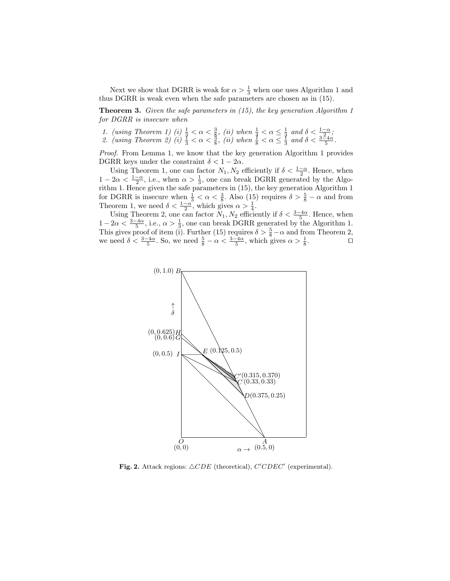Next we show that DGRR is weak for  $\alpha > \frac{1}{3}$  when one uses Algorithm 1 and thus DGRR is weak even when the safe parameters are chosen as in (15).

**Theorem 3.** Given the safe parameters in  $(15)$ , the key generation Algorithm 1 for DGRR is insecure when

- 1. (using Theorem 1) (i)  $\frac{1}{3} < \alpha < \frac{3}{8}$ , (ii) when  $\frac{1}{4} < \alpha \leq \frac{1}{3}$  and  $\delta < \frac{1-\alpha}{2}$ ;
- 2. (using Theorem 2) (i)  $\frac{1}{3} < \alpha < \frac{3}{8}$ , (ii) when  $\frac{1}{8} < \alpha \leq \frac{1}{3}$  and  $\delta < \frac{3-4\alpha}{5}$ .

Proof. From Lemma 1, we know that the key generation Algorithm 1 provides DGRR keys under the constraint  $\delta < 1 - 2\alpha$ .

Using Theorem 1, one can factor  $N_1, N_2$  efficiently if  $\delta < \frac{1-\alpha}{2}$ . Hence, when  $1 - 2\alpha < \frac{1-\alpha}{2}$ , i.e., when  $\alpha > \frac{1}{3}$ , one can break DGRR generated by the Algorithm 1. Hence given the safe parameters in (15), the key generation Algorithm 1 for DGRR is insecure when  $\frac{1}{3} < \alpha < \frac{3}{8}$ . Also (15) requires  $\delta > \frac{5}{8} - \alpha$  and from Theorem 1, we need  $\delta < \frac{1-\alpha}{2}$ , which gives  $\alpha > \frac{1}{4}$ .

Using Theorem 2, one can factor  $N_1, N_2$  efficiently if  $\delta < \frac{3-4\alpha}{5}$ . Hence, when  $1-2\alpha < \frac{3-4\alpha}{5}$ , i.e.,  $\alpha > \frac{1}{3}$ , one can break DGRR generated by the Algorithm 1. This gives proof of item (i). Further (15) requires  $\delta > \frac{5}{8} - \alpha$  and from Theorem 2, we need  $\delta < \frac{3-4\alpha}{5}$ . So, we need  $\frac{5}{8} - \alpha < \frac{3-4\alpha}{5}$ , which gives  $\alpha > \frac{1}{8}$ .



Fig. 2. Attack regions:  $\triangle CDE$  (theoretical),  $C^{\prime}CDEC^{\prime}$  (experimental).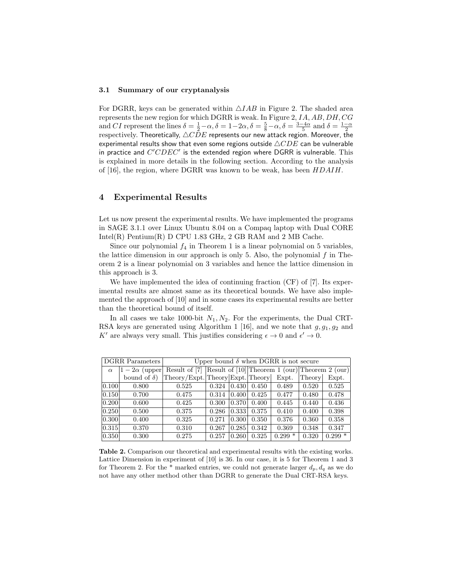#### 3.1 Summary of our cryptanalysis

For DGRR, keys can be generated within  $\triangle IAB$  in Figure 2. The shaded area represents the new region for which DGRR is weak. In Figure 2, IA, AB, DH, CG and *CI* represent the lines  $\delta = \frac{1}{2} - \alpha$ ,  $\delta = 1 - 2\alpha$ ,  $\delta = \frac{5}{8} - \alpha$ ,  $\delta = \frac{3 - 4\alpha}{5}$  and  $\delta = \frac{1 - \alpha}{2}$  respectively. Theoretically,  $\triangle CDE$  represents our new attack region. Moreover, the experimental results show that even some regions outside  $\triangle CDE$  can be vulnerable in practice and  $C^{\prime}CDEC^{\prime}$  is the extended region where DGRR is vulnerable. This is explained in more details in the following section. According to the analysis of [16], the region, where DGRR was known to be weak, has been HDAIH.

## 4 Experimental Results

Let us now present the experimental results. We have implemented the programs in SAGE 3.1.1 over Linux Ubuntu 8.04 on a Compaq laptop with Dual CORE Intel $(R)$  Pentium $(R)$  D CPU 1.83 GHz, 2 GB RAM and 2 MB Cache.

Since our polynomial  $f_4$  in Theorem 1 is a linear polynomial on 5 variables, the lattice dimension in our approach is only 5. Also, the polynomial  $f$  in Theorem 2 is a linear polynomial on 3 variables and hence the lattice dimension in this approach is 3.

We have implemented the idea of continuing fraction (CF) of [7]. Its experimental results are almost same as its theoretical bounds. We have also implemented the approach of [10] and in some cases its experimental results are better than the theoretical bound of itself.

In all cases we take 1000-bit  $N_1, N_2$ . For the experiments, the Dual CRT-RSA keys are generated using Algorithm 1 [16], and we note that  $g, g_1, g_2$  and K' are always very small. This justifies considering  $\epsilon \to 0$  and  $\epsilon' \to 0$ .

| <b>DGRR</b> Parameters |                     | Upper bound $\delta$ when DGRR is not secure                   |       |                     |       |          |        |          |  |
|------------------------|---------------------|----------------------------------------------------------------|-------|---------------------|-------|----------|--------|----------|--|
| $\alpha$               | $1-2\alpha$ (upper) | Result of [7] Result of $[10]$ Theorem 1 (our) Theorem 2 (our) |       |                     |       |          |        |          |  |
|                        | bound of $\delta$ ) | Theory/Expt. Theory Expt. Theory                               |       |                     |       | Expt.    | Theory | Expt.    |  |
| 0.100                  | 0.800               | 0.525                                                          | 0.324 | 0.430               | 0.450 | 0.489    | 0.520  | 0.525    |  |
| 0.150                  | 0.700               | 0.475                                                          | 0.314 | 0.400               | 0.425 | 0.477    | 0.480  | 0.478    |  |
| 0.200                  | 0.600               | 0.425                                                          | 0.300 | $\vert 0.370 \vert$ | 0.400 | 0.445    | 0.440  | 0.436    |  |
| 0.250                  | 0.500               | 0.375                                                          | 0.286 | $\vert 0.333 \vert$ | 0.375 | 0.410    | 0.400  | 0.398    |  |
| 0.300                  | 0.400               | 0.325                                                          | 0.271 | $\vert 0.300 \vert$ | 0.350 | 0.376    | 0.360  | 0.358    |  |
| $\vert 0.315 \vert$    | 0.370               | 0.310                                                          | 0.267 | 0.285               | 0.342 | 0.369    | 0.348  | 0.347    |  |
| 0.350                  | 0.300               | 0.275                                                          | 0.257 | 0.260               | 0.325 | $0.299*$ | 0.320  | $0.299*$ |  |

Table 2. Comparison our theoretical and experimental results with the existing works. Lattice Dimension in experiment of [10] is 36. In our case, it is 5 for Theorem 1 and 3 for Theorem 2. For the \* marked entries, we could not generate larger  $d_p, d_q$  as we do not have any other method other than DGRR to generate the Dual CRT-RSA keys.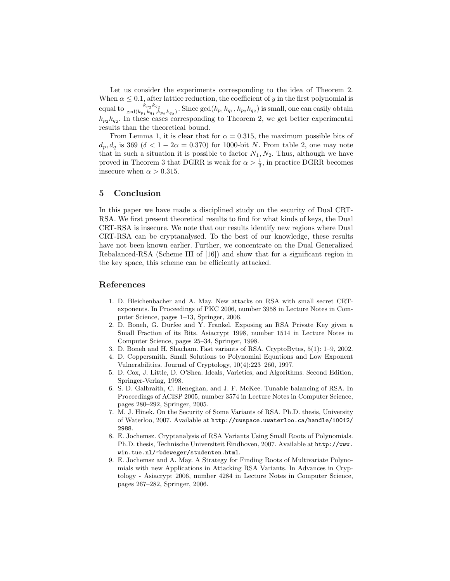Let us consider the experiments corresponding to the idea of Theorem 2. When  $\alpha \leq 0.1$ , after lattice reduction, the coefficient of y in the first polynomial is equal to  $\frac{k_{p_2}k_{q_2}}{\gcd(k-k-1)}$  $\frac{k_{p_2}k_{q_2}}{\gcd(k_{p_1}k_{q_1},k_{p_2}k_{q_2})}$ . Since  $\gcd(k_{p_1}k_{q_1},k_{p_2}k_{q_2})$  is small, one can easily obtain  $k_{p_2} k_{q_2}$ . In these cases corresponding to Theorem 2, we get better experimental results than the theoretical bound.

From Lemma 1, it is clear that for  $\alpha = 0.315$ , the maximum possible bits of  $d_p, d_q$  is 369 ( $\delta < 1 - 2\alpha = 0.370$ ) for 1000-bit N. From table 2, one may note that in such a situation it is possible to factor  $N_1, N_2$ . Thus, although we have proved in Theorem 3 that DGRR is weak for  $\alpha > \frac{1}{3}$ , in practice DGRR becomes insecure when  $\alpha > 0.315$ .

# 5 Conclusion

In this paper we have made a disciplined study on the security of Dual CRT-RSA. We first present theoretical results to find for what kinds of keys, the Dual CRT-RSA is insecure. We note that our results identify new regions where Dual CRT-RSA can be cryptanalysed. To the best of our knowledge, these results have not been known earlier. Further, we concentrate on the Dual Generalized Rebalanced-RSA (Scheme III of [16]) and show that for a significant region in the key space, this scheme can be efficiently attacked.

### References

- 1. D. Bleichenbacher and A. May. New attacks on RSA with small secret CRTexponents. In Proceedings of PKC 2006, number 3958 in Lecture Notes in Computer Science, pages 1–13, Springer, 2006.
- 2. D. Boneh, G. Durfee and Y. Frankel. Exposing an RSA Private Key given a Small Fraction of its Bits. Asiacrypt 1998, number 1514 in Lecture Notes in Computer Science, pages 25–34, Springer, 1998.
- 3. D. Boneh and H. Shacham. Fast variants of RSA. CryptoBytes, 5(1): 1–9, 2002.
- 4. D. Coppersmith. Small Solutions to Polynomial Equations and Low Exponent Vulnerabilities. Journal of Cryptology, 10(4):223–260, 1997.
- 5. D. Cox, J. Little, D. O'Shea. Ideals, Varieties, and Algorithms. Second Edition, Springer-Verlag, 1998.
- 6. S. D. Galbraith, C. Heneghan, and J. F. McKee. Tunable balancing of RSA. In Proceedings of ACISP 2005, number 3574 in Lecture Notes in Computer Science, pages 280–292, Springer, 2005.
- 7. M. J. Hinek. On the Security of Some Variants of RSA. Ph.D. thesis, University of Waterloo, 2007. Available at http://uwspace.uwaterloo.ca/handle/10012/ 2988.
- 8. E. Jochemsz. Cryptanalysis of RSA Variants Using Small Roots of Polynomials. Ph.D. thesis, Technische Universiteit Eindhoven, 2007. Available at http://www. win.tue.nl/~bdeweger/studenten.html.
- 9. E. Jochemsz and A. May. A Strategy for Finding Roots of Multivariate Polynomials with new Applications in Attacking RSA Variants. In Advances in Cryptology - Asiacrypt 2006, number 4284 in Lecture Notes in Computer Science, pages 267–282, Springer, 2006.